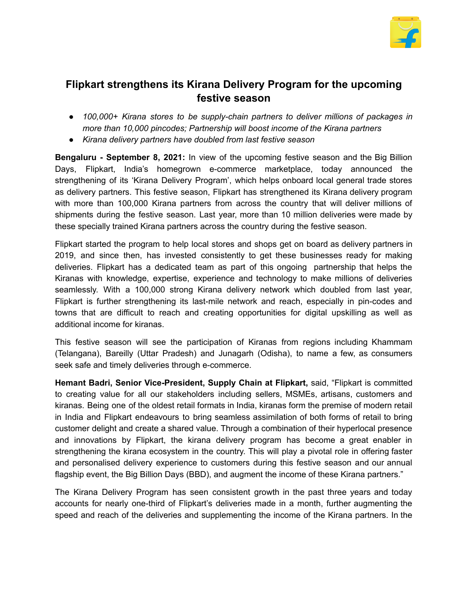

## **Flipkart strengthens its Kirana Delivery Program for the upcoming festive season**

- *● 100,000+ Kirana stores to be supply-chain partners to deliver millions of packages in more than 10,000 pincodes; Partnership will boost income of the Kirana partners*
- *● Kirana delivery partners have doubled from last festive season*

**Bengaluru - September 8, 2021:** In view of the upcoming festive season and the Big Billion Days, Flipkart, India's homegrown e-commerce marketplace, today announced the strengthening of its 'Kirana Delivery Program', which helps onboard local general trade stores as delivery partners. This festive season, Flipkart has strengthened its Kirana delivery program with more than 100,000 Kirana partners from across the country that will deliver millions of shipments during the festive season. Last year, more than 10 million deliveries were made by these specially trained Kirana partners across the country during the festive season.

Flipkart started the program to help local stores and shops get on board as delivery partners in 2019, and since then, has invested consistently to get these businesses ready for making deliveries. Flipkart has a dedicated team as part of this ongoing partnership that helps the Kiranas with knowledge, expertise, experience and technology to make millions of deliveries seamlessly. With a 100,000 strong Kirana delivery network which doubled from last year, Flipkart is further strengthening its last-mile network and reach, especially in pin-codes and towns that are difficult to reach and creating opportunities for digital upskilling as well as additional income for kiranas.

This festive season will see the participation of Kiranas from regions including Khammam (Telangana), Bareilly (Uttar Pradesh) and Junagarh (Odisha), to name a few, as consumers seek safe and timely deliveries through e-commerce.

**Hemant Badri, Senior Vice-President, Supply Chain at Flipkart,** said, "Flipkart is committed to creating value for all our stakeholders including sellers, MSMEs, artisans, customers and kiranas. Being one of the oldest retail formats in India, kiranas form the premise of modern retail in India and Flipkart endeavours to bring seamless assimilation of both forms of retail to bring customer delight and create a shared value. Through a combination of their hyperlocal presence and innovations by Flipkart, the kirana delivery program has become a great enabler in strengthening the kirana ecosystem in the country. This will play a pivotal role in offering faster and personalised delivery experience to customers during this festive season and our annual flagship event, the Big Billion Days (BBD), and augment the income of these Kirana partners."

The Kirana Delivery Program has seen consistent growth in the past three years and today accounts for nearly one-third of Flipkart's deliveries made in a month, further augmenting the speed and reach of the deliveries and supplementing the income of the Kirana partners. In the